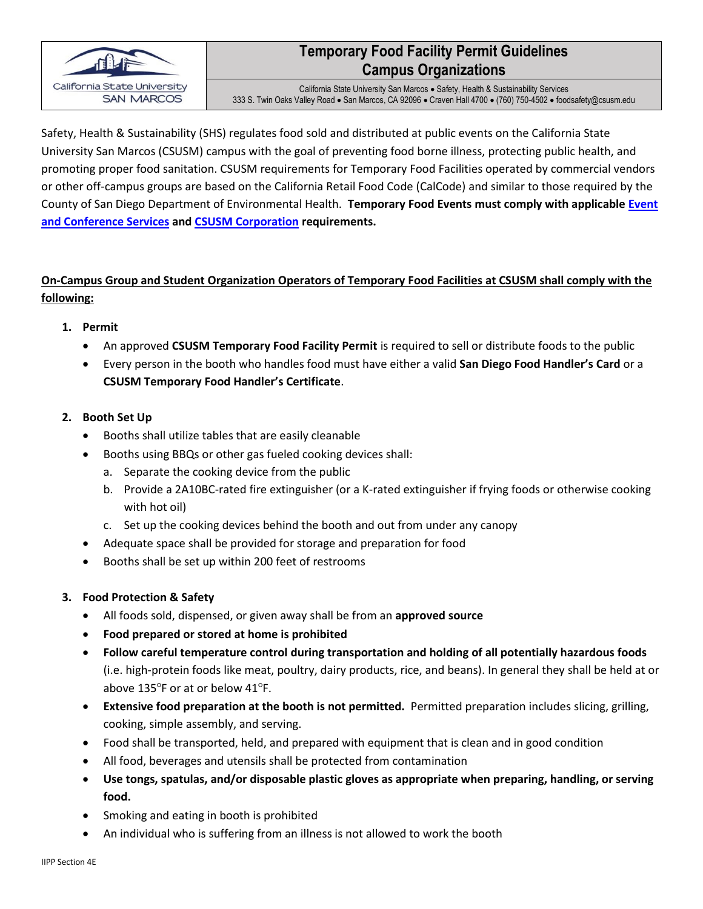

# **Temporary Food Facility Permit Guidelines Campus Organizations**

California State University San Marcos • Safety, Health & Sustainability Services 333 S. Twin Oaks Valley Road • San Marcos, CA 92096 • Craven Hall 4700 • (760) 750-4502 • foodsafety@csusm.edu

Safety, Health & Sustainability (SHS) regulates food sold and distributed at public events on the California State University San Marcos (CSUSM) campus with the goal of preventing food borne illness, protecting public health, and promoting proper food sanitation. CSUSM requirements for Temporary Food Facilities operated by commercial vendors or other off-campus groups are based on the California Retail Food Code (CalCode) and similar to those required by the County of San Diego Department of Environmental Health. **Temporary Food Events must comply with applicable [Event](http://www.csusm.edu/events/index.html)  [and Conference Services](http://www.csusm.edu/events/index.html) an[d CSUSM Corporation](https://www.csusm.edu/corp/) requirements.**

## **On-Campus Group and Student Organization Operators of Temporary Food Facilities at CSUSM shall comply with the following:**

- **1. Permit**
	- An approved **CSUSM Temporary Food Facility Permit** is required to sell or distribute foods to the public
	- Every person in the booth who handles food must have either a valid **San Diego Food Handler's Card** or a **CSUSM Temporary Food Handler's Certificate**.

## **2. Booth Set Up**

- Booths shall utilize tables that are easily cleanable
- Booths using BBQs or other gas fueled cooking devices shall:
	- a. Separate the cooking device from the public
	- b. Provide a 2A10BC-rated fire extinguisher (or a K-rated extinguisher if frying foods or otherwise cooking with hot oil)
	- c. Set up the cooking devices behind the booth and out from under any canopy
- Adequate space shall be provided for storage and preparation for food
- Booths shall be set up within 200 feet of restrooms

## **3. Food Protection & Safety**

- All foods sold, dispensed, or given away shall be from an **approved source**
- **Food prepared or stored at home is prohibited**
- **Follow careful temperature control during transportation and holding of all potentially hazardous foods** (i.e. high-protein foods like meat, poultry, dairy products, rice, and beans). In general they shall be held at or above 135°F or at or below 41°F.
- **Extensive food preparation at the booth is not permitted.** Permitted preparation includes slicing, grilling, cooking, simple assembly, and serving.
- Food shall be transported, held, and prepared with equipment that is clean and in good condition
- All food, beverages and utensils shall be protected from contamination
- **Use tongs, spatulas, and/or disposable plastic gloves as appropriate when preparing, handling, or serving food.**
- Smoking and eating in booth is prohibited
- An individual who is suffering from an illness is not allowed to work the booth